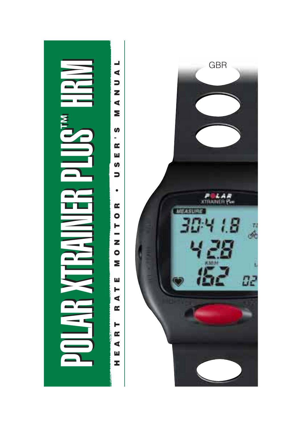

 $\overline{\phantom{a}}$ **HEART RATE MONITOR • USER'S MANUAL**  $\blacktriangleleft$  $\overline{\phantom{a}}$  $\overline{\mathbf{z}}$  $\blacktriangleleft$ Σ  $\boldsymbol{\omega}$ ÷,  $\alpha$ Ш **S**  $\Rightarrow$  $\bullet$  $\alpha$  $\bullet$ Н  $\overline{\phantom{a}}$  $\mathbf{z}$  $\bullet$ Σ ш  $\blacksquare$  $\blacktriangleleft$  $\alpha$ ь  $\alpha$  $\blacktriangleleft$ ш z

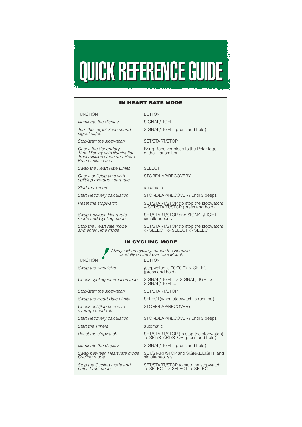

#### **IN HEART RATE MODE**

#### FUNCTION BUTTON

Illuminate the display SIGNAL ALIGHT

Turn the Target Zone sound SIGNAL/LIGHT (press and hold) signal off/on

Stop/start the stopwatch SET/START/STOP

Rate Limits in use

Swap the Heart Rate Limits SELECT

Check split/lap time with STORE/LAP/RECOVERY split/lap average heart rate

Start the Timers automatic

mode and Cycling mode

Check the Secondary Bring Receiver close to the Polar logo<br>Time Display with illumination, of the Transmitter Transmission Code and Heart

Start Recovery calculation STORE/LAP/RECOVERY until 3 beeps

Reset the stopwatch SET/START/STOP (to stop the stopwatch)<br>+ SET/START/STOP (press and hold)

Swap between Heart rate SET/START/STOP and SIGNAL/LIGHT<br>mode and Cycling mode simultaneously

Stop the Heart rate mode SET/START/STOP (to stop the stopwatch) and enter Time mode -> SELECT -> SELECT -> SELECT

#### **IN CYCLING MODE**

Always when cycling, attach the Receiver carefully on the Polar Bike Mount.

FUNCTION BUTTON

Stop/start the stopwatch SET/START/STOP

Check split/lap time with STORE/LAP/RECOVERY average heart rate

Start the Timers automatic

Cycling mode

Swap the wheelsize (stopwatch is 00:00 0) -> SELECT (press and hold)

Check cycling information loop SIGNAL/LIGHT -> SIGNAL/LIGHT-> SIGNAL/LIGHT...

Swap the Heart Rate Limits SELECT(when stopwatch is running)

Start Recovery calculation STORE/LAP/RECOVERY until 3 beeps

Reset the stopwatch SET/START/STOP (to stop the stopwatch) -> SET/START/STOP (press and hold)

Illuminate the display SIGNAL LIGHT (press and hold)

Swap between Heart rate mode SET/START/STOP and SIGNAL/LIGHT and Cycling mode simultaneously

Stop the Cycling mode and SET/START/STOP to stop the stopwatch enter Time mode and -> SELECT -> SELECT -> SELECT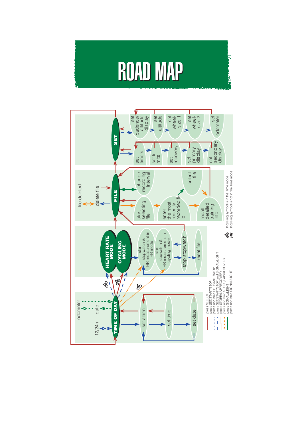## **ROAD MAP**

ł

ļ

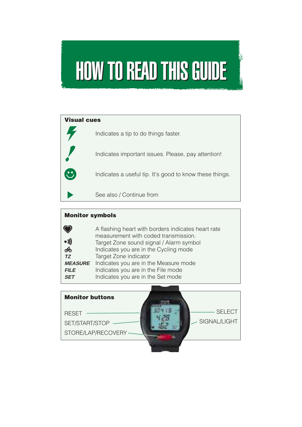

| <b>Visual cues</b> |                                                         |  |  |  |
|--------------------|---------------------------------------------------------|--|--|--|
|                    | Indicates a tip to do things faster.                    |  |  |  |
|                    | Indicates important issues. Please, pay attention!      |  |  |  |
|                    | Indicates a useful tip. It's good to know these things. |  |  |  |
|                    | See also / Continue from                                |  |  |  |

## **Monitor symbols**

|                | A flashing heart with borders indicates heart rate |
|----------------|----------------------------------------------------|
|                | measurement with coded transmission.               |
| $\bullet$ )))  | Target Zone sound signal / Alarm symbol            |
| ෯              | Indicates you are in the Cycling mode              |
| TZ             | Target Zone indicator                              |
| <b>MEASURE</b> | Indicates you are in the Measure mode              |
| <b>FILE</b>    | Indicates you are in the File mode                 |
| <b>SET</b>     | Indicates you are in the Set mode                  |

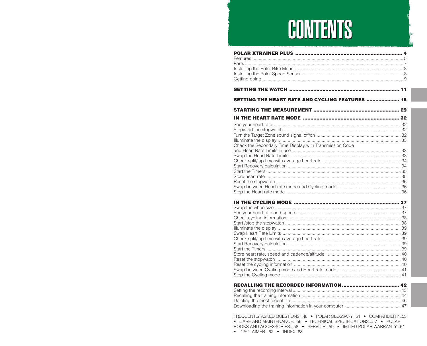## **CONTENTS**

| <b>SETTING THE HEART RATE AND CYCLING FEATURES  15</b>                                                                             |  |
|------------------------------------------------------------------------------------------------------------------------------------|--|
|                                                                                                                                    |  |
|                                                                                                                                    |  |
|                                                                                                                                    |  |
|                                                                                                                                    |  |
|                                                                                                                                    |  |
|                                                                                                                                    |  |
| Check the Secondary Time Display with Transmission Code                                                                            |  |
|                                                                                                                                    |  |
|                                                                                                                                    |  |
|                                                                                                                                    |  |
|                                                                                                                                    |  |
|                                                                                                                                    |  |
|                                                                                                                                    |  |
|                                                                                                                                    |  |
|                                                                                                                                    |  |
|                                                                                                                                    |  |
|                                                                                                                                    |  |
|                                                                                                                                    |  |
|                                                                                                                                    |  |
|                                                                                                                                    |  |
|                                                                                                                                    |  |
|                                                                                                                                    |  |
|                                                                                                                                    |  |
|                                                                                                                                    |  |
|                                                                                                                                    |  |
|                                                                                                                                    |  |
|                                                                                                                                    |  |
|                                                                                                                                    |  |
|                                                                                                                                    |  |
|                                                                                                                                    |  |
|                                                                                                                                    |  |
|                                                                                                                                    |  |
|                                                                                                                                    |  |
|                                                                                                                                    |  |
|                                                                                                                                    |  |
| FREQUENTLY ASKED QUESTIONS48 · POLAR GLOSSARY51 · COMPATIBILITY55<br>• CARE AND MAINTENANCE56 • TECHNICAL SPECIFICATIONS57 • POLAR |  |

BOOKS AND ACCESSORIES...58 · SERVICE...59 · LIMITED POLAR WARRANTY...61

· DISCLAIMER...62 · INDEX..63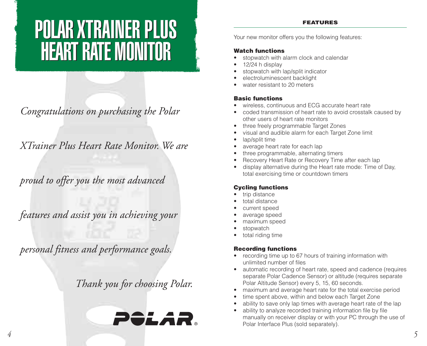## POLAR XTRAINER PLUS POLAR XTRAINER PLUS HEART RATE MONITOR HEART RATE MONITOR

*Congratulations on purchasing the Polar*

*XTrainer Plus Heart Rate Monitor. We are*

*proud to offer you the most advanced*

*features and assist you in achieving your*

*personal fitness and performance goals.*

*Thank you for choosing Polar.*



#### **FEATURES**

Your new monitor offers you the following features:

### **Watch functions**

- stopwatch with alarm clock and calendar
- •12/24 h display
- •stopwatch with lap/split indicator
- •electroluminescent backlight
- •water resistant to 20 meters

## **Basic functions**

- •wireless, continuous and ECG accurate heart rate
- • coded transmission of heart rate to avoid crosstalk caused by other users of heart rate monitors
- •three freely programmable Target Zones
- •visual and audible alarm for each Target Zone limit
- •lap/split time
- •average heart rate for each lap
- •three programmable, alternating timers
- •Recovery Heart Rate or Recovery Time after each lap
- • display alternative during the Heart rate mode: Time of Day, total exercising time or countdown timers

## **Cycling functions**

- •trip distance
- •total distance
- •current speed
- •average speed
- •maximum speed
- •stopwatch
- •total riding time

## **Recording functions**

- recording time up to 67 hours of training information with unlimited number of files
- automatic recording of heart rate, speed and cadence (requires separate Polar Cadence Sensor) or altitude (requires separate Polar Altitude Sensor) every 5, 15, 60 seconds.
- maximum and average heart rate for the total exercise period
- •time spent above, within and below each Target Zone
- •ability to save only lap times with average heart rate of the lap
- • ability to analyze recorded training information file by file manually on receiver display or with your PC through the use of Polar Interface Plus (sold separately).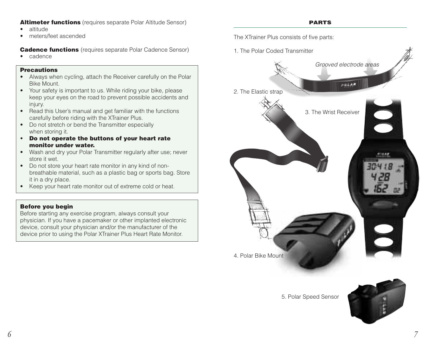### **Altimeter functions** (requires separate Polar Altitude Sensor)

- •altitude
- •meters/feet ascended

**Cadence functions** (requires separate Polar Cadence Sensor)

•cadence

### **Precautions**

- Always when cycling, attach the Receiver carefully on the Polar Bike Mount.
- Your safety is important to us. While riding your bike, please keep your eyes on the road to prevent possible accidents and injury.
- Read this User's manual and get familiar with the functions carefully before riding with the XTrainer Plus.
- Do not stretch or bend the Transmitter especially when storing it.
- **• Do not operate the buttons of your heart rate monitor under water.**
- Wash and dry your Polar Transmitter regularly after use; never store it wet.
- Do not store your heart rate monitor in any kind of nonbreathable material, such as a plastic bag or sports bag. Store it in a dry place.
- Keep your heart rate monitor out of extreme cold or heat.

## **Before you begin**

Before starting any exercise program, always consult your physician. If you have a pacemaker or other implanted electronic device, consult your physician and/or the manufacturer of the device prior to using the Polar XTrainer Plus Heart Rate Monitor.

**PARTS**

The XTrainer Plus consists of five parts:



5. Polar Speed Sensor

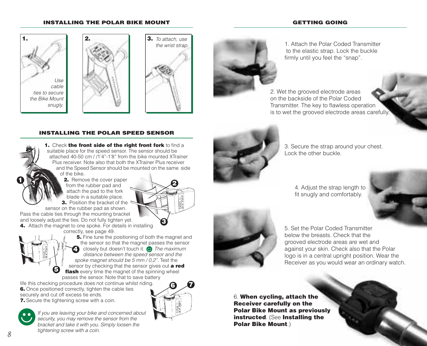#### **INSTALLING THE POLAR BIKE MOUNT**

#### **GETTING GOING**







**3**

**6 7**



1. Attach the Polar Coded Transmitter to the elastic strap. Lock the buckle firmly until you feel the "snap".

2. Wet the grooved electrode areas on the backside of the Polar Coded Transmitter. The key to flawless operation is to wet the grooved electrode areas carefully.

#### **INSTALLING THE POLAR SPEED SENSOR**

**1.** Check **the front side of the right front fork** to find a suitable place for the speed sensor. The sensor should be attached 40-50 cm / /1'4"-1'8" from the bike mounted XTrainer Plus receiver. Note also that both the XTrainer Plus receiver and the Speed Sensor should be mounted on the same side of the bike.

 $\bullet$  **1 2.** Remove the cover paper from the rubber pad and attach the pad to the fork blade in a suitable place. **3.** Position the bracket of the

sensor on the rubber pad as shown.

Pass the cable ties through the mounting bracket and loosely adjust the ties. Do not fully tighten yet.

**4.** Attach the magnet to one spoke. For details in installing correctly, see page 49.



**5.** Fine tune the positioning of both the magnet and the sensor so that the magnet passes the sensor closely but doesn't touch it.  $\bullet$  The maximum distance between the speed sensor and the spoke magnet should be 5 mm / 0.2". Test the sensor by checking that the sensor gives out **a red flash** every time the magnet of the spinning wheel passes the sensor. Note that to save battery **4**

life this checking procedure does not continue whilst riding. **6.** Once positioned correctly, tighten the cable ties securely and cut off excess tie ends.

**7.** Secure the tightening screw with a coin.



*8 9 9 9 9 9 9 9 9 9 9 9 9 9 9 9 9 9 9 9 9 9 9 9 9 9 9 9 9 9 9 9* **<b>***9 9 9 9 9* **<b>** If you are leaving your bike and concerned about security, you may remove the sensor from the bracket and take it with you. Simply loosen the tightening screw with a coin.



3. Secure the strap around your chest. Lock the other buckle.

4. Adjust the strap length to fit snugly and comfortably.



5. Set the Polar Coded Transmitter below the breasts. Check that the grooved electrode areas are wet and against your skin. Check also that the Polar logo is in a central upright position. Wear the Receiver as you would wear an ordinary watch.

6. **When cycling, attach the Receiver carefully on the Polar Bike Mount as previously instructed**. (See **Installing the Polar Bike Mount**.)

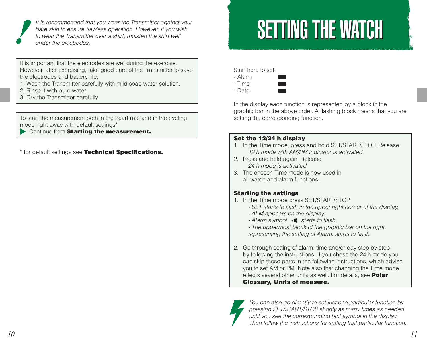

It is recommended that you wear the Transmitter against your<br>bare skin to ensure flawless operation. However, if you wish to wear the shirt well to wear the Transmitter over a shirt, moisten the shirt well under the electrodes.

It is important that the electrodes are wet during the exercise. However, after exercising, take good care of the Transmitter to save the electrodes and battery life:

- 1. Wash the Transmitter carefully with mild soap water solution.
- 2. Rinse it with pure water.
- 3. Dry the Transmitter carefully.

To start the measurement both in the heart rate and in the cycling mode right away with default settings\*

Continue from **Starting the measurement.**

\* for default settings see **Technical Specifications.**

Start here to set:

- Alarm
- Time
- Date

In the display each function is represented by a block in the graphic bar in the above order. A flashing block means that you are setting the corresponding function.

### **Set the 12/24 h display**

- 1. In the Time mode, press and hold SET/START/STOP. Release. 12 h mode with AM/PM indicator is activated.
- 2. Press and hold again. Release. 24 h mode is activated.
- 3. The chosen Time mode is now used in all watch and alarm functions.

## **Starting the settings**

- 1. In the Time mode press SET/START/STOP.
	- SET starts to flash in the upper right corner of the display.
	- ALM appears on the display.
	- Alarm symbol  $\bullet \emptyset$  starts to flash.
	- The uppermost block of the graphic bar on the right, representing the setting of Alarm, starts to flash.
- 2. Go through setting of alarm, time and/or day step by step by following the instructions. If you chose the 24 h mode you can skip those parts in the following instructions, which advise you to set AM or PM. Note also that changing the Time mode effects several other units as well. For details, see **Polar Glossary, Units of measure.**



You can also go directly to set just one particular function by pressing SET/START/STOP shortly as many times as needed until you see the corresponding text symbol in the display. Then follow the instructions for setting that particular function.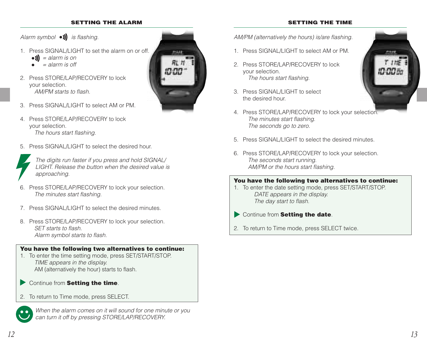#### **SETTING THE ALARM**

#### **SETTING THE TIME**

Alarm symbol  $\bullet \mathbf{M}$  is flashing.

- 1. Press SIGNAL /LIGHT to set the alarm on or off.
	- $\bullet$  ) = alarm is on
	- $=$  alarm is off
- 2. Press STORE/LAP/RECOVERY to lock your selection. AM/PM starts to flash.



- 3. Press SIGNAL/LIGHT to select AM or PM.
- 4. Press STORE/LAP/RECOVERY to lock your selection. The hours start flashing.
- 5. Press SIGNAL /LIGHT to select the desired hour.



The digits run faster if you press and hold SIGNAL/ LIGHT. Release the button when the desired value is approaching.

- 6. Press STORE/LAP/RECOVERY to lock your selection. The minutes start flashing.
- 7. Press SIGNAL/LIGHT to select the desired minutes.
- 8. Press STORE/LAP/RECOVERY to lock your selection. SET starts to flash. Alarm symbol starts to flash.

#### **You have the following two alternatives to continue:**

- 1. To enter the time setting mode, press SET/START/STOP. TIME appears in the display. AM (alternatively the hour) starts to flash.
- Continue from **Setting the time**.
- 2. To return to Time mode, press SELECT.



When the alarm comes on it will sound for one minute or you can turn it off by pressing STORE/LAP/RECOVERY.

AM/PM (alternatively the hours) is/are flashing.

- 1. Press SIGNAL/LIGHT to select AM or PM.
- 2 Press STORE/LAP/RECOVERY to lock your selection. The hours start flashing.
- 3. Press SIGNAL/LIGHT to select the desired hour.



- 5. Press SIGNAL/LIGHT to select the desired minutes.
- 6. Press STORE/LAP/RECOVERY to lock your selection. The seconds start running. AM/PM or the hours start flashing.

### **You have the following two alternatives to continue:**

- 1. To enter the date setting mode, press SET/START/STOP. DATE appears in the display. The day start to flash.
- Continue from **Setting the date**.
- 2. To return to Time mode, press SELECT twice.

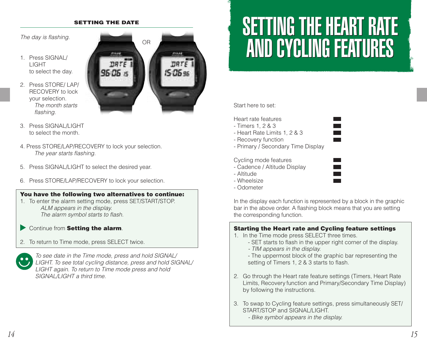#### **SETTING THE DATE**

The day is flashing.

- 1. Press SIGNAL/ LIGHT to select the day.
- 2. Press STORE/ LAP/ RECOVERY to lock your selection. The month starts flashing.



- 3. Press SIGNAL/LIGHT to select the month.
- 4. Press STORE/LAP/RECOVERY to lock your selection. The year starts flashing.
- 5. Press SIGNAL/LIGHT to select the desired year.
- 6. Press STORE/LAP/RECOVERY to lock your selection.

## **You have the following two alternatives to continue:**

- 1. To enter the alarm setting mode, press SET/START/STOP. ALM appears in the display. The alarm symbol starts to flash.
- Continue from **Setting the alarm**.
- 2. To return to Time mode, press SELECT twice.



## SETTING THE HEART RATE SETTING THE HEART RATE AND CYCLING FEATURES AND CYCLING FEATURES

Start here to set:

Heart rate features

- Timers 1, 2 & 3
- Heart Rate Limits 1, 2 & 3
- Recovery function
- Primary / Secondary Time Display

#### Cycling mode features

- Cadence / Altitude Display
- Altitude
- Wheelsize
- Odometer

In the display each function is represented by a block in the graphic bar in the above order. A flashing block means that you are setting the corresponding function.

## **Starting the Heart rate and Cycling feature settings**

- 1. In the Time mode press SELECT three times.
	- SET starts to flash in the upper right corner of the display. - TIM appears in the display.
	- The uppermost block of the graphic bar representing the setting of Timers 1, 2 & 3 starts to flash.
- 2. Go through the Heart rate feature settings (Timers, Heart Rate Limits, Recovery function and Primary/Secondary Time Display) by following the instructions.
- 3. To swap to Cycling feature settings, press simultaneously SET/ START/STOP and SIGNAL /LIGHT
	- Bike symbol appears in the display.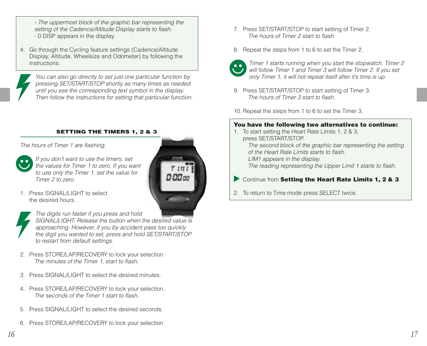- The uppermost block of the graphic bar representing the setting of the Cadence/Altitude Display starts to flash. - 0 DISP appears in the display.
- 4. Go through the Cycling feature settings (Cadence/Altitude Display, Altitude, Wheelsize and Odometer) by following the instructions.

You can also go directly to set just one particular function by pressing SET/START/STOP shortly as many times as needed until you see the corresponding text symbol in the display. Then follow the instructions for setting that particular function.

#### **SETTING THE TIMERS 1, 2 & 3**

The hours of Timer 1 are flashing.



If you don't want to use the timers, set the values for Timer 1 to zero. If you want to use only the Timer 1, set the value for Timer 2 to zero.

1. Press SIGNAL/LIGHT to select the desired hours.



The digits run faster if you press and hold SIGNAL/LIGHT. Release the button when the desired value is approaching. However, if you by accident pass too quickly the digit you wanted to set, press and hold SET/START/STOP to restart from default settings.

- 2. Press STORE/LAP/RECOVERY to lock your selection. The minutes of the Timer 1, start to flash.
- 3. Press SIGNAL/LIGHT to select the desired minutes.
- 4. Press STORE/LAP/RECOVERY to lock your selection. The seconds of the Timer 1 start to flash.
- 5. Press SIGNAL/LIGHT to select the desired seconds.
- 6. Press STORE/LAP/RECOVERY to lock your selection.
- 7. Press SET/START/STOP to start setting of Timer 2. The hours of Timer 2 start to flash.
- 8. Repeat the steps from 1 to 6 to set the Timer 2.



Timer 1 starts running when you start the stopwatch. Timer 2 will follow Timer 1 and Timer 3 will follow Timer 2. If you set only Timer 1, it will not repeat itself after it's time is up.

9. Press SET/START/STOP to start setting of Timer 3. The hours of Timer 3 start to flash.

10. Repeat the steps from 1 to 6 to set the Timer 3.

## **You have the following two alternatives to continue:**

- 1. To start setting the Heart Rate Limits 1, 2 & 3, press SET/START/STOP. The second block of the graphic bar representing the setting of the Heart Rate Limits starts to flash. LIM1 appears in the display. The reading representing the Upper Limit 1 starts to flash.
- Continue from **Setting the Heart Rate Limits 1, 2 & 3**.
- 2. To return to Time mode press SELECT twice.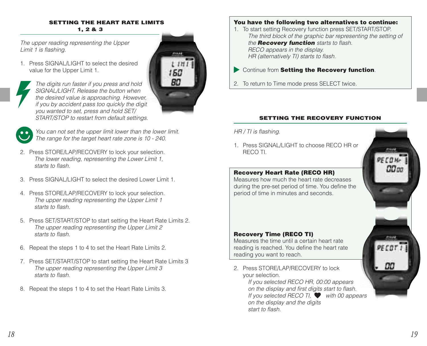#### **SETTING THE HEART RATE LIMITS 1, 2 & 3**

160 **BO** 

The upper reading representing the Upper Limit 1 is flashing.

1. Press SIGNAL/LIGHT to select the desired value for the Upper Limit 1.



The digits run faster if you press and hold SIGNAL/LIGHT. Release the button when the desired value is approaching. However, if you by accident pass too quickly the digit you wanted to set, press and hold SET/ START/STOP to restart from default settings.

You can not set the upper limit lower than the lower limit. The range for the target heart rate zone is 10 - 240.

- 2. Press STORE/LAP/RECOVERY to lock your selection. The lower reading, representing the Lower Limit 1, starts to flash.
- 3. Press SIGNAL/LIGHT to select the desired Lower Limit 1.
- 4. Press STORE/LAP/RECOVERY to lock your selection. The upper reading representing the Upper Limit 1 starts to flash.
- 5. Press SET/START/STOP to start setting the Heart Rate Limits 2. The upper reading representing the Upper Limit 2 starts to flash.
- 6. Repeat the steps 1 to 4 to set the Heart Rate Limits 2.
- 7. Press SET/START/STOP to start setting the Heart Rate Limits 3 The upper reading representing the Upper Limit 3 starts to flash.
- 8. Repeat the steps 1 to 4 to set the Heart Rate Limits 3.

## **You have the following two alternatives to continue:**

- 1. To start setting Recovery function press SET/START/STOP. The third block of the graphic bar representing the setting of the **Recovery function** starts to flash. RECO appears in the display. HR (alternatively TI) starts to flash.
- Continue from **Setting the Recovery function**.
- 2. To return to Time mode press SELECT twice.

## **SETTING THE RECOVERY FUNCTION**

### HR / TI is flashing.

1. Press SIGNAL /LIGHT to choose RECO HR or RECO TI.

## **Recovery Heart Rate (RECO HR)**

Measures how much the heart rate decreases during the pre-set period of time. You define the period of time in minutes and seconds.

## **Recovery Time (RECO TI)**

Measures the time until a certain heart rate reading is reached. You define the heart rate reading you want to reach.

2. Press STORE/LAP/RECOVERY to lock your selection.

If you selected RECO HR, 00:00 appears on the display and first digits start to flash. If you selected RECO TI, with 00 appears on the display and the digits start to flash.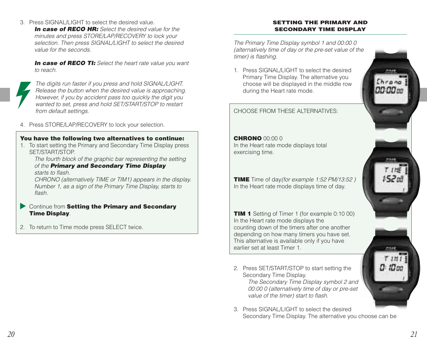3. Press SIGNAL/LIGHT to select the desired value.

**In case of RECO HR:** Select the desired value for the minutes and press STORF/LAP/RFCOVERY to lock your selection. Then press SIGNAL/LIGHT to select the desired value for the seconds.

**In case of RECO TI:** Select the heart rate value you want to reach.



4. Press STORE/LAP/RECOVERY to lock your selection.

### **You have the following two alternatives to continue:**

1. To start setting the Primary and Secondary Time Display press SET/START/STOP.

The fourth block of the graphic bar representing the setting of the **Primary and Secondary Time Display** starts to flash.

CHRONO (alternatively TIME or TIM1) appears in the display. Number 1, as a sign of the Primary Time Display, starts to flash.

- Continue from **Setting the Primary and Secondary Time Display**.
- 2. To return to Time mode press SELECT twice.

#### **SETTING THE PRIMARY AND SECONDARY TIME DISPLAY**

timer) is flashing.

**CHRONO** 00:00 0

earlier set at least Timer 1.

Secondary Time Display.

exercising time.

during the Heart rate mode.



3. Press SIGNAL/LIGHT to select the desired Secondary Time Display. The alternative you choose can be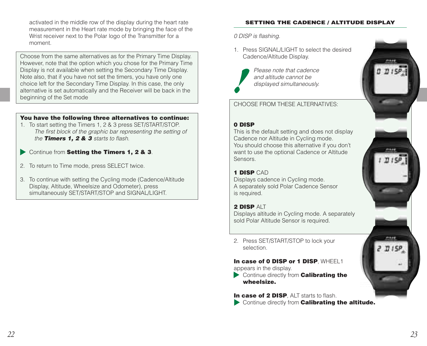activated in the middle row of the display during the heart rate measurement in the Heart rate mode by bringing the face of the Wrist receiver next to the Polar logo of the Transmitter for a moment.

Choose from the same alternatives as for the Primary Time Display. However, note that the option which you chose for the Primary Time Display is not available when setting the Secondary Time Display. Note also, that if you have not set the timers, you have only one choice left for the Secondary Time Display. In this case, the only alternative is set automatically and the Receiver will be back in the beginning of the Set mode

### **You have the following three alternatives to continue:**

- 1. To start setting the Timers 1, 2 & 3 press SET/START/STOP. The first block of the graphic bar representing the setting of the **Timers 1, 2 & 3** starts to flash.
- Continue from **Setting the Timers 1, 2 & 3**.
- 2. To return to Time mode, press SELECT twice.
- 3. To continue with setting the Cycling mode (Cadence/Altitude Display, Altitude, Wheelsize and Odometer), press simultaneously SET/START/STOP and SIGNAL/LIGHT.

#### **SETTING THE CADENCE / ALTITUDE DISPLAY**

0 DISP is flashing.

1. Press SIGNAL /LIGHT to select the desired Cadence/Altitude Display.



Please note that cadence and altitude cannot be displayed simultaneously.

CHOOSE FROM THESE ALTERNATIVES:

#### **0 DISP**

This is the default setting and does not display Cadence nor Altitude in Cycling mode. You should choose this alternative if you don't want to use the optional Cadence or Altitude Sensors.

#### **1 DISP** CAD

Displays cadence in Cycling mode. A separately sold Polar Cadence Sensor is required.

#### **2 DISP** ALT

Displays altitude in Cycling mode. A separately sold Polar Altitude Sensor is required.

2. Press SET/START/STOP to lock your selection.

#### **In case of 0 DISP or 1 DISP WHEEL1**

appears in the display.

- Continue directly from **Calibrating the wheelsize.**
- **In case of 2 DISP**, ALT starts to flash. Continue directly from **Calibrating the altitude.**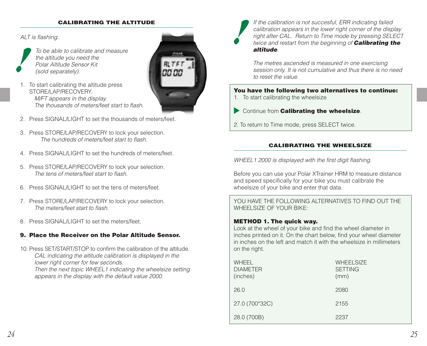#### **CALIBRATING THE ALTITUDE**

ALT is flashing.

To be able to calibrate and measure the altitude you need the Polar Altitude Sensor Kit (sold separately).

- 1. To start calibrating the altitude press STORE/LAP/RECOVERY M/FT appears in the display. The thousands of meters/feet start to flash.
- 2. Press SIGNAL/LIGHT to set the thousands of meters/feet.
- 3. Press STORE/LAP/RECOVERY to lock your selection. The hundreds of meters/feet start to flash.
- 4. Press SIGNAL/LIGHT to set the hundreds of meters/feet.
- 5. Press STORE/LAP/RECOVERY to lock your selection. The tens of meters/feet start to flash.
- 6. Press SIGNAL/LIGHT to set the tens of meters/feet.
- 7. Press STORE/LAP/RECOVERY to lock your selection. The meters/feet start to flash.
- 8. Press SIGNAL/LIGHT to set the meters/feet.

### **9. Place the Receiver on the Polar Altitude Sensor.**

10. Press SET/START/STOP to confirm the calibration of the altitude. CAL indicating the altitude calibration is displayed in the lower right corner for few seconds. Then the next topic WHEEL1 indicating the wheelsize setting appears in the display with the default value 2000.



If the calibration is not succesful, ERR indicating failed calibration appears in the lower right corner of the display right after CAL. Return to Time mode by pressing SELECT twice and restart from the beginning of **Calibrating the altitude**.

The metres ascended is measured in one exercising session only. It is not cumulative and thus there is no need to reset the value.

#### **You have the following two alternatives to continue:**

- 1. To start calibrating the wheelsize
- Continue from **Calibrating the wheelsize**.
- 2. To return to Time mode, press SELECT twice.

#### **CALIBRATING THE WHEELSIZE**

WHEEL1 2000 is displayed with the first digit flashing.

Before you can use your Polar XTrainer HRM to measure distance and speed specifically for your bike you must calibrate the wheelsize of your bike and enter that data.

YOU HAVE THE FOLLOWING ALTERNATIVES TO FIND OUT THE WHEELSIZE OF YOUR BIKE:

#### **METHOD 1. The quick way.**

Look at the wheel of your bike and find the wheel diameter in inches printed on it. On the chart below, find your wheel diameter in inches on the left and match it with the wheelsize in millimeters on the right.

| WHEEL<br><b>DIAMETER</b><br>(inches) | <b>WHEELSIZE</b><br><b>SETTING</b><br>(mm) |
|--------------------------------------|--------------------------------------------|
| 26.0                                 | 2080                                       |
| 27.0 (700*32C)                       | 2155                                       |
| 28.0 (700B)                          | 2237                                       |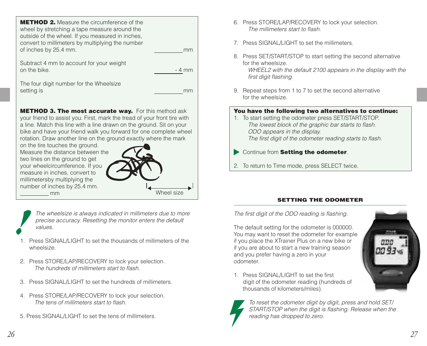| <b>METHOD 2.</b> Measure the circumference of the<br>wheel by stretching a tape measure around the<br>outside of the wheel. If you measured in inches,<br>convert to millimeters by multiplying the number |        |
|------------------------------------------------------------------------------------------------------------------------------------------------------------------------------------------------------------|--------|
| of inches by 25.4 mm.                                                                                                                                                                                      | mm     |
| Subtract 4 mm to account for your weight<br>on the bike.                                                                                                                                                   | - 4 mm |

The four digit number for the Wheelsize setting is more many setting is more than  $\mathbb{R}^n$  is more than  $\mathbb{R}^n$  in the more than  $\mathbb{R}^n$  is more than  $\mathbb{R}^n$  is the more than  $\mathbb{R}^n$  is the more than  $\mathbb{R}^n$  is the more than  $\mathbb{R}^n$  is the mo

**METHOD 3. The most accurate way.** For this method ask your friend to assist you. First, mark the tread of your front tire with a line. Match this line with a line drawn on the ground. Sit on your bike and have your friend walk you forward for one complete wheel rotation. Draw another line on the ground exactly where the mark

on the tire touches the ground. Measure the distance between the two lines on the ground to get your wheelcircumference. If you measure in inches, convert to millimetersby multiplying the number of inches by 25.4 mm. mm



The wheelsize is always indicated in millimeters due to more precise accuracy. Resetting the monitor enters the default values.

- 1. Press SIGNAL/LIGHT to set the thousands of millimeters of the wheelsize.
- 2. Press STORE/LAP/RECOVERY to lock your selection. The hundreds of millimeters start to flash.
- 3. Press SIGNAL/LIGHT to set the hundreds of millimeters.
- 4. Press STORE/LAP/RECOVERY to lock your selection. The tens of millimeters start to flash.
- 5. Press SIGNAL/LIGHT to set the tens of millimeters.
- 6. Press STORE/LAP/RECOVERY to lock your selection. The millimeters start to flash.
- 7. Press SIGNAL /LIGHT to set the millimeters.
- 8. Press SET/START/STOP to start setting the second alternative for the wheelsize. WHEEL2 with the default 2100 appears in the display with the first digit flashing.
- 9. Repeat steps from 1 to 7 to set the second alternative for the wheelsize.

## **You have the following two alternatives to continue:**

- 1. To start setting the odometer press SET/START/STOP. The lowest block of the graphic bar starts to flash. ODO appears in the display. The first digit of the odometer reading starts to flash.
- Continue from **Setting the odometer**.
- 2. To return to Time mode, press SELECT twice.

## **SETTING THE ODOMETER**

The first digit of the ODO reading is flashing.

The default setting for the odometer is 000000. You may want to reset the odometer for example if you place the XTrainer Plus on a new bike or if you are about to start a new training season and you prefer having a zero in your odometer.



1. Press SIGNAL /LIGHT to set the first digit of the odometer reading (hundreds of thousands of kilometers/miles).



To reset the odometer digit by digit, press and hold SET/ START/STOP when the digit is flashing. Release when the reading has dropped to zero.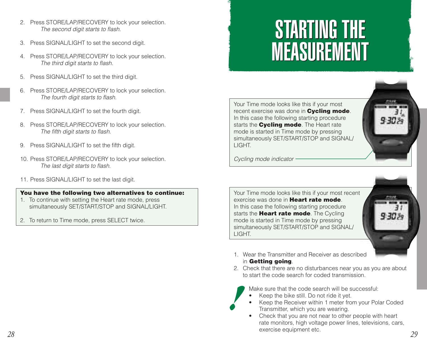- 2. Press STORE/LAP/RECOVERY to lock your selection. The second digit starts to flash.
- 3. Press SIGNAL/LIGHT to set the second digit.
- 4. Press STORE/LAP/RECOVERY to lock your selection. The third digit starts to flash.
- 5. Press SIGNAL/LIGHT to set the third digit.
- 6. Press STORE/LAP/RECOVERY to lock your selection. The fourth digit starts to flash.
- 7. Press SIGNAL/LIGHT to set the fourth digit.
- 8. Press STORE/LAP/RECOVERY to lock your selection. The fifth digit starts to flash.
- 9. Press SIGNAL/LIGHT to set the fifth digit.
- 10. Press STORE/LAP/RECOVERY to lock your selection. The last digit starts to flash.
- 11. Press SIGNAL/LIGHT to set the last digit.

### **You have the following two alternatives to continue:**

- 1. To continue with setting the Heart rate mode, press simultaneously SET/START/STOP and SIGNAL/LIGHT.
- 2. To return to Time mode, press SELECT twice.

## STARTING THE STARTING THE MEASUREMENT MEASUREMENT

Your Time mode looks like this if your most recent exercise was done in **Cycling mode**. In this case the following starting procedure starts the **Cycling mode**. The Heart rate mode is started in Time mode by pressing simultaneously SET/START/STOP and SIGNAL/ **LIGHT** 



Cycling mode indicator

Your Time mode looks like this if your most recent exercise was done in **Heart rate mode**. In this case the following starting procedure starts the **Heart rate mode**. The Cycling mode is started in Time mode by pressing simultaneously SET/START/STOP and SIGNAL/ LIGHT.

- 1. Wear the Transmitter and Receiver as described in **Getting going**.
- 2. Check that there are no disturbances near you as you are about to start the code search for coded transmission.

Make sure that the code search will be successful:

- Keep the bike still. Do not ride it yet.
- • Keep the Receiver within 1 meter from your Polar Coded Transmitter, which you are wearing.
- *28 29* • Check that you are not near to other people with heart rate monitors, high voltage power lines, televisions, cars, exercise equipment etc.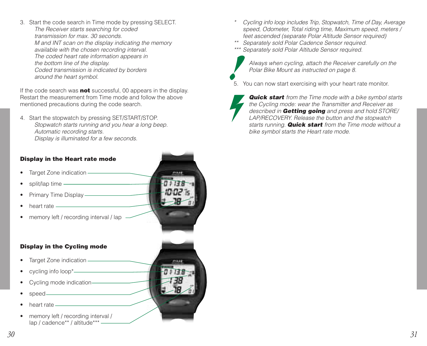3. Start the code search in Time mode by pressing SELECT. The Receiver starts searching for coded transmission for max. 30 seconds. M and INT scan on the display indicating the memory available with the chosen recording interval. The coded heart rate information appears in the bottom line of the display. Coded transmission is indicated by borders around the heart symbol.

If the code search was **not** successful, 00 appears in the display. Restart the measurement from Time mode and follow the above mentioned precautions during the code search.

4. Start the stopwatch by pressing SET/START/STOP. Stopwatch starts running and you hear a long beep. Automatic recording starts. Display is illuminated for a few seconds.

### **Display in the Heart rate mode**

- •Target Zone indication -
- •split/lap time —
- •Primary Time Display ——
- •heart rate -
- •memory left / recording interval / lap

#### **Display in the Cycling mode**

- •Target Zone indication -
- •cycling info loop\*
- •Cycling mode indication
- •speed-
- •heart rate
- • memory left / recording interval / lap / cadence\*\* / altitude\*\*\* -



- \* Cycling info loop includes Trip, Stopwatch, Time of Day, Average speed, Odometer, Total riding time, Maximum speed, meters / feet ascended (separate Polar Altitude Sensor required)
- \*\* Separately sold Polar Cadence Sensor required.
- \*\*\* Separately sold Polar Altitude Sensor required.



Always when cycling, attach the Receiver carefully on the Polar Bike Mount as instructed on page 8.

- 5. You can now start exercising with your heart rate monitor.
	- **Quick start** from the Time mode with a bike symbol starts the Cycling mode: wear the Transmitter and Receiver as described in **Getting going** and press and hold STORE/ LAP/RECOVERY. Release the button and the stopwatch starts running. **Quick start** from the Time mode without a bike symbol starts the Heart rate mode.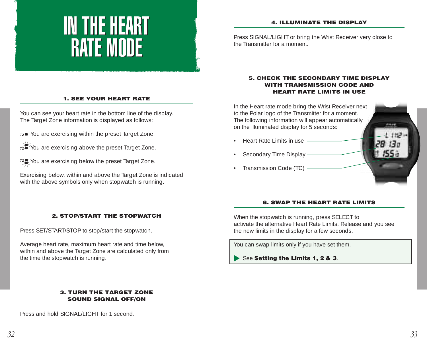## IN THE HEART IN THE HEART RATE MODE RATE MODE

#### **4. ILLUMINATE THE DISPLAY**

Press SIGNAL/LIGHT or bring the Wrist Receiver very close to the Transmitter for a moment.

### **1. SEE YOUR HEART RATE**

You can see your heart rate in the bottom line of the display. The Target Zone information is displayed as follows:

 $\tau$ z $\blacksquare$  You are exercising within the preset Target Zone.

You are exercising above the preset Target Zone.

You are exercising below the preset Target Zone.

Exercising below, within and above the Target Zone is indicated with the above symbols only when stopwatch is running.

#### **5. CHECK THE SECONDARY TIME DISPLAY WITH TRANSMISSION CODE AND HEART RATE LIMITS IN USE**



#### **6. SWAP THE HEART RATE LIMITS**

#### **2. STOP/START THE STOPWATCH**

Press SET/START/STOP to stop/start the stopwatch.

Average heart rate, maximum heart rate and time below, within and above the Target Zone are calculated only from the time the stopwatch is running.

> **3. TURN THE TARGET ZONE SOUND SIGNAL OFF/ON**

Press and hold SIGNAL/LIGHT for 1 second.

When the stopwatch is running, press SELECT to activate the alternative Heart Rate Limits. Release and you see the new limits in the display for a few seconds.

You can swap limits only if you have set them.

See Setting the Limits 1, 2 & 3.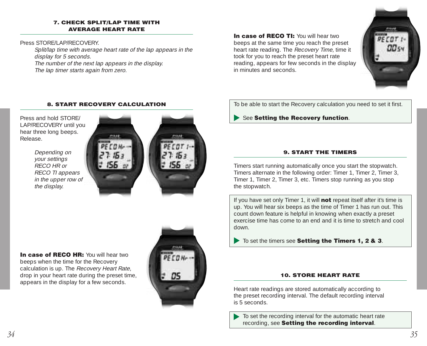#### **7. CHECK SPLIT/LAP TIME WITH AVERAGE HEART RATE**

Press STORE/LAP/RECOVERY

Split/lap time with average heart rate of the lap appears in the display for 5 seconds. The number of the next lap appears in the display.

The lap timer starts again from zero.

**In case of RECO TI:** You will hear two beeps at the same time you reach the preset heart rate reading. The Recovery Time, time it took for you to reach the preset heart rate reading, appears for few seconds in the display in minutes and seconds.



#### **8. START RECOVERY CALCULATION**

Press and hold STORE/ LAP/RECOVERY until you hear three long beeps. Release.

> Depending on your settings RECO HR or RECO TI appears in the upper row of the display.





**In case of RECO HR:** You will hear two beeps when the time for the Recovery calculation is up. The Recovery Heart Rate, drop in your heart rate during the preset time, appears in the display for a few seconds.



To be able to start the Recovery calculation you need to set it first.

See **Setting the Recovery function**.

### **9. START THE TIMERS**

Timers start running automatically once you start the stopwatch. Timers alternate in the following order: Timer 1, Timer 2, Timer 3, Timer 1, Timer 2, Timer 3, etc. Timers stop running as you stop the stopwatch.

If you have set only Timer 1, it will **not** repeat itself after it's time is up. You will hear six beeps as the time of Timer 1 has run out. This count down feature is helpful in knowing when exactly a preset exercise time has come to an end and it is time to stretch and cool down.

 $\blacktriangleright$  To set the timers see **Setting the Timers 1, 2 & 3**.

#### **10. STORE HEART RATE**

Heart rate readings are stored automatically according to the preset recording interval. The default recording interval is 5 seconds.

To set the recording interval for the automatic heart rate recording, see **Setting the recording interval**.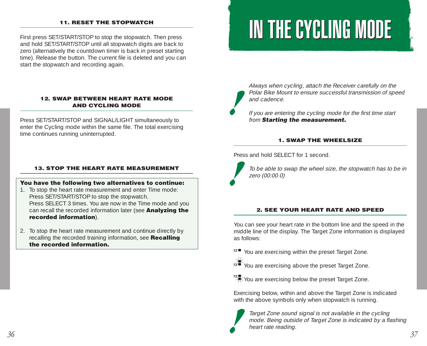#### **11. RESET THE STOPWATCH**

First press SET/START/STOP to stop the stopwatch. Then press and hold SET/START/STOP until all stopwatch digits are back to zero (alternatively the countdown timer is back in preset starting time). Release the button. The current file is deleted and you can start the stopwatch and recording again.

#### **12. SWAP BETWEEN HEART RATE MODE AND CYCLING MODE**

Press SET/START/STOP and SIGNAL/LIGHT simultaneously to enter the Cycling mode within the same file. The total exercising time continues running uninterrupted.

#### **13. STOP THE HEART RATE MEASUREMENT**

#### **You have the following two alternatives to continue:**

- 1. To stop the heart rate measurement and enter Time mode: Press SET/START/STOP to stop the stopwatch. Press SELECT 3 times. You are now in the Time mode and you can recall the recorded information later (see **Analyzing the recorded information**).
- 2. To stop the heart rate measurement and continue directly by recalling the recorded training information, see **Recalling the recorded information.**

## IN THE CYCLING MODE

Always when cycling, attach the Receiver carefully on the Polar Bike Mount to ensure successful transmission of speed and cadence.

If you are entering the cycling mode for the first time start from **Starting the measurement.**

#### **1. SWAP THE WHEELSIZE**

Press and hold SELECT for 1 second.

To be able to swap the wheel size, the stopwatch has to be in zero (00:00 0)

#### **2. SEE YOUR HEART RATE AND SPEED**

You can see your heart rate in the bottom line and the speed in the middle line of the display. The Target Zone information is displayed as follows:

 $T^z$  You are exercising within the preset Target Zone.



You are exercising above the preset Target Zone.



**XXX**You are exercising below the preset Target Zone.

Exercising below, within and above the Target Zone is indicated with the above symbols only when stopwatch is running.



Target Zone sound signal is not available in the cycling mode. Being outside of Target Zone is indicated by a flashing heart rate reading.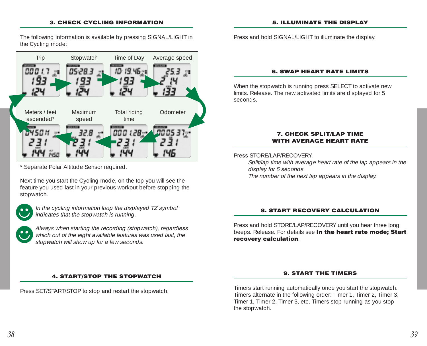#### **3. CHECK CYCLING INFORMATION**

The following information is available by pressing SIGNAL/LIGHT in the Cycling mode:



Separate Polar Altitude Sensor required.

Next time you start the Cycling mode, on the top you will see the feature you used last in your previous workout before stopping the stopwatch.



In the cycling information loop the displayed TZ symbol indicates that the stopwatch is running.

Always when starting the recording (stopwatch), regardless which out of the eight available features was used last, the stopwatch will show up for a few seconds.

#### **4. START/STOP THE STOPWATCH**

Press SET/START/STOP to stop and restart the stopwatch.

Press and hold SIGNAL/LIGHT to illuminate the display.

#### **6. SWAP HEART RATE LIMITS**

When the stopwatch is running press SELECT to activate new limits. Release. The new activated limits are displayed for 5 seconds.

#### **7. CHECK SPLIT/LAP TIME WITH AVERAGE HEART RATE**

Press STORE/LAP/RECOVERY

Split/lap time with average heart rate of the lap appears in the display for 5 seconds.

The number of the next lap appears in the display.

#### **8. START RECOVERY CALCULATION**

Press and hold STORE/LAP/RECOVERY until you hear three long beeps. Release. For details see **In the heart rate mode; Start recovery calculation**.

#### **9. START THE TIMERS**

Timers start running automatically once you start the stopwatch. Timers alternate in the following order: Timer 1, Timer 2, Timer 3, Timer 1, Timer 2, Timer 3, etc. Timers stop running as you stop the stopwatch.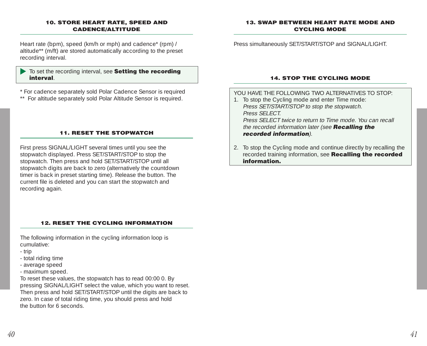#### **10. STORE HEART RATE, SPEED AND CADENCE/ALTITUDE**

Heart rate (bpm), speed (km/h or mph) and cadence\* (rpm) / altitude\*\* (m/ft) are stored automatically according to the preset recording interval.

#### To set the recording interval, see **Setting the recording interval**.

\* For cadence separately sold Polar Cadence Sensor is required

\*\* For altitude separately sold Polar Altitude Sensor is required.

### **11. RESET THE STOPWATCH**

First press SIGNAL/LIGHT several times until you see the stopwatch displayed. Press SET/START/STOP to stop the stopwatch. Then press and hold SET/START/STOP until all stopwatch digits are back to zero (alternatively the countdown timer is back in preset starting time). Release the button. The current file is deleted and you can start the stopwatch and recording again.

### **12. RESET THE CYCLING INFORMATION**

The following information in the cycling information loop is cumulative:

- trip
- total riding time
- average speed
- maximum speed.

To reset these values, the stopwatch has to read 00:00 0. By pressing SIGNAL/LIGHT select the value, which you want to reset. Then press and hold SET/START/STOP until the digits are back to zero. In case of total riding time, you should press and hold the button for 6 seconds.

#### **13. SWAP BETWEEN HEART RATE MODE AND CYCLING MODE**

Press simultaneously SET/START/STOP and SIGNAL/LIGHT.

#### **14. STOP THE CYCLING MODE**

YOU HAVE THE FOLLOWING TWO ALTERNATIVES TO STOP:

1. To stop the Cycling mode and enter Time mode: Press SET/START/STOP to stop the stopwatch. Press SFI FCT. Press SELECT twice to return to Time mode. You can recall

the recorded information later (see **Recalling the recorded information**).

2. To stop the Cycling mode and continue directly by recalling the recorded training information, see **Recalling the recorded information.**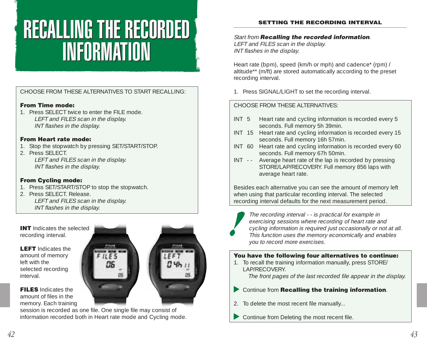## RECALLING THE RECORDED RECALLING THE RECORDED INFORMATION INFORMATION

## CHOOSE FROM THESE ALTERNATIVES TO START RECALLING:

### **From Time mode:**

1. Press SELECT twice to enter the FILE mode. LEFT and FILES scan in the display. INT flashes in the display.

### **From Heart rate mode:**

- 1. Stop the stopwatch by pressing SET/START/STOP.
- 2. Press SELECT. LEFT and FILES scan in the display. INT flashes in the display.

### **From Cycling mode:**

- 1. Press SET/START/STOP to stop the stopwatch.
- 2. Press SELECT. Release. LEFT and FILES scan in the display. INT flashes in the display.

**INT** Indicates the selected recording interval.

**LEFT** Indicates the amount of memory left with the selected recording interval.

**FILES** Indicates the amount of files in the memory. Each training

session is recorded as one file. One single file may consist of information recorded both in Heart rate mode and Cycling mode.



Start from **Recalling the recorded information**. LEFT and FILES scan in the display. INT flashes in the display.

Heart rate (bpm), speed (km/h or mph) and cadence\* (rpm) / altitude\*\* (m/ft) are stored automatically according to the preset recording interval.

1. Press SIGNAL/LIGHT to set the recording interval.

## CHOOSE FROM THESE ALTERNATIVES:

- INT 5 Heart rate and cycling information is recorded every 5 seconds. Full memory 5h 39min.
- INT 15 Heart rate and cycling information is recorded every 15 seconds. Full memory 16h 57min.
- INT 60 Heart rate and cycling information is recorded every 60 seconds. Full memory 67h 50min.
- INT - Average heart rate of the lap is recorded by pressing STORE/LAP/RECOVERY. Full memory 856 laps with average heart rate.

Besides each alternative you can see the amount of memory left when using that particular recording interval. The selected recording interval defaults for the next measurement period.



The recording interval - - is practical for example in exercising sessions where recording of heart rate and cycling information is required just occasionally or not at all. This function uses the memory economically and enables you to record more exercises.

### **You have the following four alternatives to continue:**

1. To recall the training information manually, press STORE/ LAP/RECOVERY.

The front pages of the last recorded file appear in the display.

- Continue from **Recalling the training information**.
- 2. To delete the most recent file manually...
- Continue from Deleting the most recent file.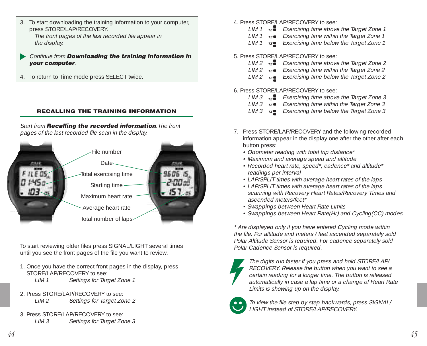- 3. To start downloading the training information to your computer, press STORE/LAP/RECOVERY. The front pages of the last recorded file appear in the display.
- Continue from **Downloading the training information in your computer**.
- 4. To return to Time mode press SELECT twice.

#### **RECALLING THE TRAINING INFORMATION**

Start from **Recalling the recorded information**.The front pages of the last recorded file scan in the display.



To start reviewing older files press SIGNAL/LIGHT several times until you see the front pages of the file you want to review.

1. Once you have the correct front pages in the display, press STORE/LAP/RECOVERY to see:

LIM 1 Settings for Target Zone 1

- 2. Press STORE/LAP/RECOVERY to see: LIM 2 Settings for Target Zone 2
- 3. Press STORE/LAP/RECOVERY to see: LIM 3 Settings for Target Zone 3
- 4. Press STORE/LAP/RECOVERY to see:
	- $LIM 1$   $\overline{z}$  Fxercising time above the Target Zone 1
	- $LIM 1$   $I = Exercisinq$  time within the Target Zone 1
	- $LIM 1$   $rz$  Exercising time below the Target Zone 1

### 5. Press STORE/LAP/RECOVERY to see:

- $LIM 2$   $\overline{z}$  Exercising time above the Target Zone 2
- $LIM 2$   $\overline{rz}$  Exercising time within the Target Zone 2
- $LIM 2$   $rz$  Exercising time below the Target Zone 2

### 6. Press STORE/LAP/RECOVERY to see:

- LIM 3  $\overline{172}$  Exercising time above the Target Zone 3
- LIM  $3 \overline{17}$  Exercising time within the Target Zone 3
- LIM  $3$   $\mathsf{rz}$  Exercising time below the Target Zone 3
- 7. Press STORE/LAP/RECOVERY and the following recorded information appear in the display one after the other after each button press:
	- Odometer reading with total trip distance\*
	- Maximum and average speed and altitude
	- Recorded heart rate, speed\*, cadence\* and altitude\* readings per interval
	- LAP/SPLIT times with average heart rates of the laps
	- LAP/SPLIT times with average heart rates of the laps scanning with Recovery Heart Rates/Recovery Times and ascended meters/feet\*
	- Swappings between Heart Rate Limits
	- Swappings between Heart Rate(Hr) and Cycling(CC) modes

\* Are displayed only if you have entered Cycling mode within the file. For altitude and meters / feet ascended separately sold Polar Altitude Sensor is required. For cadence separately sold Polar Cadence Sensor is required.

The digits run faster if you press and hold STORE/LAP/ RECOVERY. Release the button when you want to see a certain reading for a longer time. The button is released automatically in case a lap time or a change of Heart Rate Limits is showing up on the display.



To view the file step by step backwards, press SIGNAL/ LIGHT instead of STORE/LAP/RECOVERY.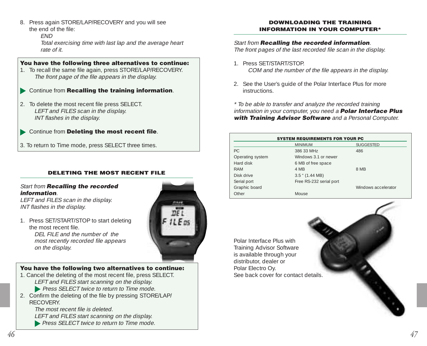8. Press again STORE/LAP/RECOVERY and you will see the end of the file:

END

Total exercising time with last lap and the average heart rate of it.

## **You have the following three alternatives to continue:**

- 1. To recall the same file again, press STORE/LAP/RECOVERY. The front page of the file appears in the display.
- Continue from **Recalling the training information**.
- 2. To delete the most recent file press SELECT. LEFT and FILES scan in the display. INT flashes in the display.

## Continue from **Deleting the most recent file**.

3. To return to Time mode, press SELECT three times.

## **DELETING THE MOST RECENT FILE**

#### Start from **Recalling the recorded information**.

LEFT and FILES scan in the display. INT flashes in the display.

1. Press SET/START/STOP to start deleting the most recent file. DEL FILE and the number of the most recently recorded file appears on the display.

## **You have the following two alternatives to continue:**

- 1. Cancel the deleting of the most recent file, press SELECT. LEFT and FILES start scanning on the display.
	- **Press SELECT twice to return to Time mode.**
- 2. Confirm the deleting of the file by pressing STORE/LAP/ **RECOVERY**

The most recent file is deleted. LEFT and FILES start scanning on the display.

**Press SELECT twice to return to Time mode.** 



#### **DOWNLOADING THE TRAINING INFORMATION IN YOUR COMPUTER\***

### Start from **Recalling the recorded information**.

The front pages of the last recorded file scan in the display.

- 1. Press SET/START/STOP. COM and the number of the file appears in the display.
- 2. See the User's guide of the Polar Interface Plus for more instructions.

\* To be able to transfer and analyze the recorded training information in your computer, you need a **Polar Interface Plus with Training Advisor Software** and a Personal Computer.

| <b>SYSTEM REQUIREMENTS FOR YOUR PC</b> |                         |                     |
|----------------------------------------|-------------------------|---------------------|
|                                        | <b>MINIMUM</b>          | <b>SUGGESTED</b>    |
| PC.                                    | 386 33 MHz              | 486                 |
| Operating system                       | Windows 3.1 or newer    |                     |
| Hard disk                              | 6 MB of free space      |                     |
| RAM                                    | 4 MB                    | 8 MB                |
| Disk drive                             | $3.5$ " (1.44 MB)       |                     |
| Serial port                            | Free RS-232 serial port |                     |
| Graphic board                          |                         | Windows accelerator |
| Other                                  | Mouse                   |                     |

Polar Interface Plus with Training Advisor Software is available through your distributor, dealer or Polar Electro Oy. See back cover for contact details.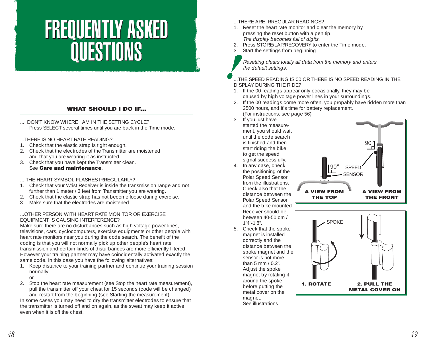## FREQUENTLY ASKED QUESTIONS FREQUENTLY ASKED QUESTIONS

#### **WHAT SHOULD I DO IF...**

...I DON'T KNOW WHERE I AM IN THE SETTING CYCLE? Press SELECT several times until you are back in the Time mode.

...THERE IS NO HEART RATE READING?

- 1. Check that the elastic strap is tight enough.
- 2. Check that the electrodes of the Transmitter are moistened and that you are wearing it as instructed.
- 3. Check that you have kept the Transmitter clean. See **Care and maintenance**.

... THE HEART SYMBOL FLASHES IRREGULARLY?

- 1. Check that your Wrist Receiver is inside the transmission range and not further than 1 meter / 3 feet from Transmitter you are wearing.
- 2. Check that the elastic strap has not become loose during exercise.
- 3. Make sure that the electrodes are moistened.

#### ...OTHER PERSON WITH HEART RATE MONITOR OR EXERCISE EQUIPMENT IS CAUSING INTERFERENCE?

Make sure there are no disturbances such as high voltage power lines, televisions, cars, cyclocomputers, exercise equipments or other people with heart rate monitors near you during the code search. The benefit of the coding is that you will not normally pick up other people's heart rate transmission and certain kinds of disturbances are more efficiently filtered. However your training partner may have coincidentally activated exactly the same code. In this case you have the following alternatives:

1. Keep distance to your training partner and continue your training session normally

or

2. Stop the heart rate measurement (see Stop the heart rate measurement), pull the transmitter off your chest for 15 seconds (code will be changed) and restart from the beginning (see Starting the measurement).

In some cases you may need to dry the transmitter electrodes to ensure that the transmitter is turned off and on again, as the sweat may keep it active even when it is off the chest.

#### ...THERE ARE IRREGULAR READINGS?

- 1. Reset the heart rate monitor and clear the memory by pressing the reset button with a pen tip. The display becomes full of digits.
- 2. Press STORE/LAP/RECOVERY to enter the Time mode.
- 3. Start the settings from beginning.

Resetting clears totally all data from the memory and enters the default settings.

...THE SPEED READING IS 00 OR THERE IS NO SPEED READING IN THE DISPLAY DURING THE RIDE?

- 1. If the 00 readings appear only occasionally, they may be caused by high voltage power lines in your surroundings.
- 2. If the 00 readings come more often, you propably have ridden more than 2500 hours, and it's time for battery replacement. (For instructions, see page 56)
- 3. If you just have

started the measurement, you should wait until the code search is finished and then start riding the bike to get the speed signal successfully.

4. In any case, check the positioning of the Polar Speed Sensor from the illustrations. Check also that the distance between the Polar Speed Sensor and the bike mounted Receiver should be between 40-50 cm / 1'4"-1'8".

> magnet is installed correctly and the

sensor is not more than 5 mm / 0.2". Adjust the spoke magnet by rotating it around the spoke before putting the metal cover on the magnet. See illustrations.



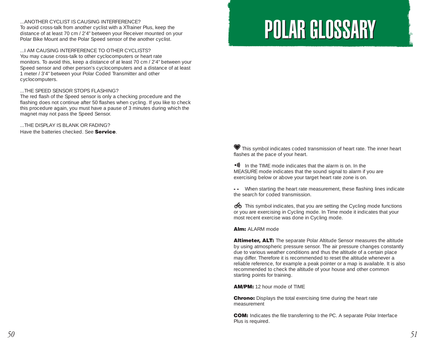...ANOTHER CYCLIST IS CAUSING INTERFERENCE? To avoid cross-talk from another cyclist with a XTrainer Plus, keep the distance of at least 70 cm / 2'4" between your Receiver mounted on your Polar Bike Mount and the Polar Speed sensor of the another cyclist.

#### ...I AM CAUSING INTERFERENCE TO OTHER CYCLISTS?

You may cause cross-talk to other cyclocomputers or heart rate monitors. To avoid this, keep a distance of at least 70 cm / 2'4" between your Speed sensor and other person's cyclocomputers and a distance of at least 1 meter / 3'4" between your Polar Coded Transmitter and other cyclocomputers.

#### ...THE SPEED SENSOR STOPS FLASHING?

The red flash of the Speed sensor is only a checking procedure and the flashing does not continue after 50 flashes when cycling. If you like to check this procedure again, you must have a pause of 3 minutes during which the magnet may not pass the Speed Sensor.

...THE DISPLAY IS BLANK OR FADING? Have the batteries checked. See **Service**.

## POLAR GLOSSARY POLAR GLOSSARY

This symbol indicates coded transmission of heart rate. The inner heart flashes at the pace of your heart.

•I) In the TIME mode indicates that the alarm is on. In the MEASURE mode indicates that the sound signal to alarm if you are exercising below or above your target heart rate zone is on.

**- -** When starting the heart rate measurement, these flashing lines indicate the search for coded transmission.

 $\bullet$  This symbol indicates, that you are setting the Cycling mode functions or you are exercising in Cycling mode. In Time mode it indicates that your most recent exercise was done in Cycling mode.

#### **Alm:** ALARM mode

**Altimeter, ALT:** The separate Polar Altitude Sensor measures the altitude by using atmospheric pressure sensor. The air pressure changes constantly due to various weather conditions and thus the altitude of a certain place may differ. Therefore it is recommended to reset the altitude whenever a reliable reference, for example a peak pointer or a map is available. It is also recommended to check the altitude of your house and other common starting points for training.

**AM/PM:** 12 hour mode of TIME

**Chrono:** Displays the total exercising time during the heart rate measurement

**COM:** Indicates the file transferring to the PC. A separate Polar Interface Plus is required.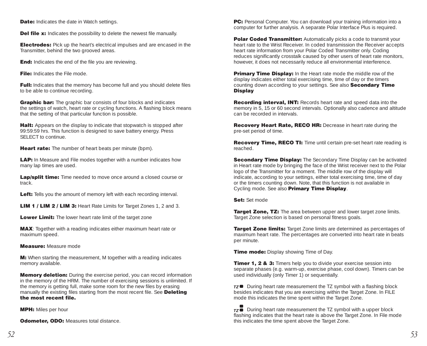**Date:** Indicates the date in Watch settings.

**Del file x:** Indicates the possibility to delete the newest file manually.

**Electrodes:** Pick up the heart's electrical impulses and are encased in the Transmitter, behind the two grooved areas.

**End:** Indicates the end of the file you are reviewing.

**File:** Indicates the File mode.

**Full:** Indicates that the memory has become full and you should delete files to be able to continue recording.

**Graphic bar:** The graphic bar consists of four blocks and indicates the settings of watch, heart rate or cycling functions. A flashing block means that the setting of that particular function is possible.

**Halt:** Appears on the display to indicate that stopwatch is stopped after 99:59:59 hrs. This function is designed to save battery energy. Press SELECT to continue.

**Heart rate:** The number of heart beats per minute (bpm).

**LAP:** In Measure and File modes together with a number indicates how many lap times are used.

**Lap/split time:** Time needed to move once around a closed course or track.

**Left:** Tells you the amount of memory left with each recording interval.

**LIM 1 / LIM 2 / LIM 3:** Heart Rate Limits for Target Zones 1, 2 and 3.

**Lower Limit:** The lower heart rate limit of the target zone

**MAX**: Together with a reading indicates either maximum heart rate or maximum speed.

**Measure:** Measure mode

**M:** When starting the measurement, M together with a reading indicates memory available.

**Memory deletion:** During the exercise period, you can record information in the memory of the HRM. The number of exercising sessions is unlimited. If the memory is getting full, make some room for the new files by erasing manually the existing files starting from the most recent file. See **Deleting the most recent file.**

**MPH:** Miles per hour

**Odometer, ODO: Measures total distance.** 

**PC:** Personal Computer. You can download your training information into a computer for further analysis. A separate Polar Interface Plus is required.

**Polar Coded Transmitter:** Automatically picks a code to transmit your heart rate to the Wrist Receiver. In coded transmission the Receiver accepts heart rate information from your Polar Coded Transmitter only. Coding reduces significantly crosstalk caused by other users of heart rate monitors, however, it does not necessarily reduce all environmental interference.

**Primary Time Display:** In the Heart rate mode the middle row of the display indicates either total exercising time, time of day or the timers counting down according to your settings. See also **Secondary Time Display**

**Recording interval, INT:** Records heart rate and speed data into the memory in 5, 15 or 60 second intervals. Optionally also cadence and altitude can be recorded in intervals.

**Recovery Heart Rate, RECO HR:** Decrease in heart rate during the pre-set period of time.

**Recovery Time, RECO TI:** Time until certain pre-set heart rate reading is reached.

**Secondary Time Display:** The Secondary Time Display can be activated in Heart rate mode by bringing the face of the Wrist receiver next to the Polar logo of the Transmitter for a moment. The middle row of the display will indicate, according to your settings, either total exercising time, time of day or the timers counting down. Note, that this function is not available in Cycling mode. See also **Primary Time Display**.

**Set: Set mode** 

**Target Zone, TZ:** The area between upper and lower target zone limits. Target Zone selection is based on personal fitness goals.

**Target Zone limits:** Target Zone limits are determined as percentages of maximum heart rate. The percentages are converted into heart rate in beats per minute.

**Time mode:** Display showing Time of Day.

**Timer 1, 2 & 3:** Timers help you to divide your exercise session into separate phases (e.g. warm-up, exercise phase, cool down). Timers can be used individually (only Timer 1) or sequentially.

 $\overline{rz}$  During heart rate measurement the TZ symbol with a flashing block besides indicates that you are exercising within the Target Zone. In FILE mode this indicates the time spent within the Target Zone.

 $\overline{172}$  During heart rate measurement the TZ symbol with a upper block flashing indicates that the heart rate is above the Target Zone. In File mode this indicates the time spent above the Target Zone.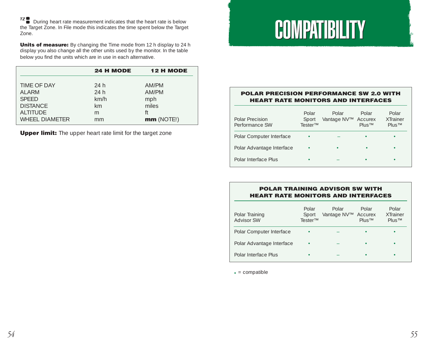<sup>•□</sup> ■ During heart rate measurement indicates that the heart rate is below<br>the Target Zone. In File mode this indicates the time spent below the Target Zone.

**Units of measure:** By changing the Time mode from 12 h display to 24 h display you also change all the other units used by the monitor. In the table below you find the units which are in use in each alternative.

|                 | 24 H MODE | <b>12 H MODE</b> |
|-----------------|-----------|------------------|
| TIME OF DAY     | 24 h      | AM/PM            |
| AI ARM          | 24h       | AM/PM            |
| <b>SPFFD</b>    | km/h      | mph              |
| <b>DISTANCE</b> | km        | miles            |
| AI TITUDE       | m         | ft               |
| WHEEL DIAMETER  | mm        | mm(NOTE!)        |

**Upper limit:** The upper heart rate limit for the target zone

## **COMPATIBILITY**

#### **POLAR PRECISION PERFORMANCE SW 2.0 WITH HEART RATE MONITORS AND INTERFACES**

| Polar Precision<br>Performance SW | Polar<br>Sport<br>Tester™ | Polar<br>Vantage NV™ | Polar<br>Accurex<br>$PIIIS^{TM}$ | Polar<br>XTrainer<br>$PIIIS^{TM}$ |
|-----------------------------------|---------------------------|----------------------|----------------------------------|-----------------------------------|
| Polar Computer Interface          |                           |                      |                                  | ٠                                 |
| Polar Advantage Interface         | ٠                         | ٠                    |                                  | ٠                                 |
| Polar Interface Plus              |                           |                      |                                  |                                   |

#### **POLAR TRAINING ADVISOR SW WITH HEART RATE MONITORS AND INTERFACES**

| Polar Training<br><b>Advisor SW</b> | Polar<br>Sport<br>Tester™ | Polar<br>Vantage NV™ | Polar<br>Accurex<br>Plus™ | Polar<br><b>XTrainer</b><br>Plus™ |
|-------------------------------------|---------------------------|----------------------|---------------------------|-----------------------------------|
| Polar Computer Interface            |                           |                      |                           |                                   |
| Polar Advantage Interface           | ٠                         |                      |                           |                                   |
| Polar Interface Plus                |                           |                      |                           |                                   |

 $\bullet$  = compatible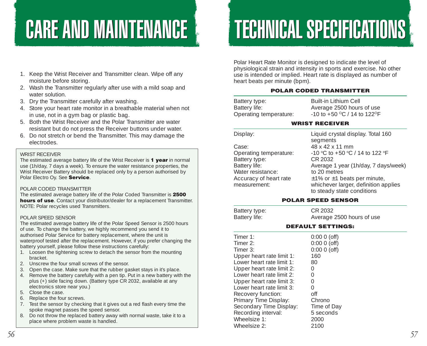## **CARE AND MAINTENANCE**

# **TECHNICAL SPECIFICATIONS**

- 1. Keep the Wrist Receiver and Transmitter clean. Wipe off any moisture before storing.
- 2. Wash the Transmitter regularly after use with a mild soap and water solution.
- 3. Dry the Transmitter carefully after washing.
- 4. Store your heart rate monitor in a breathable material when not in use, not in a gym bag or plastic bag.
- 5. Both the Wrist Receiver and the Polar Transmitter are water resistant but do not press the Receiver buttons under water.
- 6. Do not stretch or bend the Transmitter. This may damage the electrodes.

#### WRIST RECEIVER

The estimated average battery life of the Wrist Receiver is **1 year** in normal use (1h/day, 7 days a week). To ensure the water resistance properties, the Wrist Receiver Battery should be replaced only by a person authorised by Polar Electro Oy. See **Service**.

#### POLAR CODED TRANSMITTER

The estimated average battery life of the Polar Coded Transmitter is **2500 hours of use**. Contact your distributor/dealer for a replacement Transmitter. NOTE: Polar recycles used Transmitters.

#### POLAR SPEED SENSOR

The estimated average battery life of the Polar Speed Sensor is 2500 hours of use. To change the battery, we highly recommend you send it to authorised Polar Service for battery replacement, where the unit is waterproof tested after the replacement. However, if you prefer changing the battery yourself, please follow these instructions carefully:

- 1. Loosen the tightening screw to detach the sensor from the mounting bracket.
- 2. Unscrew the four small screws of the sensor.
- 3. Open the case. Make sure that the rubber gasket stays in it's place.
- 4. Remove the battery carefully with a pen tip. Put in a new battery with the plus (+) side facing down. (Battery type CR 2032, available at any electronics store near you.)
- 5. Close the case.
- 6. Replace the four screws.
- 7. Test the sensor by checking that it gives out a red flash every time the spoke magnet passes the speed sensor.
- 8. Do not throw the replaced battery away with normal waste, take it to a place where problem waste is handled.

Polar Heart Rate Monitor is designed to indicate the level of physiological strain and intensity in sports and exercise. No other use is intended or implied. Heart rate is displayed as number of heart beats per minute (bpm).

#### **POLAR CODED TRANSMITTER**

| Battery type:          | Built-in Lithium Cell           |
|------------------------|---------------------------------|
| Battery life:          | Average 2500 hours of use       |
| Operating temperature: | $-10$ to $+50$ °C / 14 to 122°F |

#### **WRIST RECEIVER**

| Case:                  |
|------------------------|
| Operating temperature: |
| Battery type:          |
| Battery life:          |
| Water resistance:      |
| Accuracy of heart rate |
| measurement:           |
|                        |

Display: Liquid crystal display. Total 160 segments Case: 48 x 42 x 11 mm Operating temperature:  $-10 °C$  to  $+50 °C$  / 14 to 122  $°F$ CR 2032 Average 1 year (1h/day, 7 days/week) to 20 metres  $±1%$  or  $±1$  beats per minute, whichever larger, definition applies to steady state conditions

#### **POLAR SPEED SENSOR**

| Battery type:<br>Battery life: | CR 2032<br>Average 2500 hours of use |
|--------------------------------|--------------------------------------|
|                                | <b>DEFAULT SETTINGS:</b>             |
| Timer $1$ :                    | $0:0000$ (off)                       |
| Timer $2$ :                    | $0:0000$ (off)                       |
| Timer $3:$                     | $0:0000$ (off)                       |
| Honor hoart rato limit 1.      | 160                                  |

| Upper heart rate limit 1: | 160         |
|---------------------------|-------------|
| Lower heart rate limit 1: | 80          |
| Upper heart rate limit 2: | Ω           |
| Lower heart rate limit 2: | 0           |
| Upper heart rate limit 3: | 0           |
| Lower heart rate limit 3: | 0           |
| Recovery function:        | off         |
| Primary Time Display:     | Chrono      |
| Secondary Time Display:   | Time of Day |
| Recording interval:       | 5 seconds   |
| Wheelsize 1:              | 2000        |
| Wheelsize 2:              | 2100        |
|                           |             |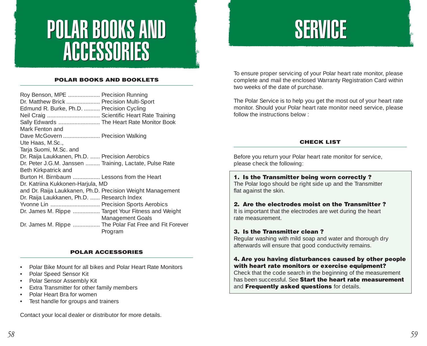## POLAR BOOKS AND POLAR BOOKS AND ACCESSORIES ACCESSORIES

#### **POLAR BOOKS AND BOOKLETS**

| Roy Benson, MPE  Precision Running                         |                  |
|------------------------------------------------------------|------------------|
| Dr. Matthew Brick  Precision Multi-Sport                   |                  |
| Edmund R. Burke, Ph.D.  Precision Cycling                  |                  |
| Neil Craig  Scientific Heart Rate Training                 |                  |
| Sally Edwards  The Heart Rate Monitor Book                 |                  |
| Mark Fenton and                                            |                  |
| Dave McGovern  Precision Walking                           |                  |
| Ute Haas, M.Sc.,                                           |                  |
| Tarja Suomi, M.Sc. and                                     |                  |
| Dr. Raija Laukkanen, Ph.D.  Precision Aerobics             |                  |
| Dr. Peter J.G.M. Janssen  Training, Lactate, Pulse Rate    |                  |
| Beth Kirkpatrick and                                       |                  |
| Burton H. Birnbaum  Lessons from the Heart                 |                  |
| Dr. Katriina Kukkonen-Harjula, MD                          |                  |
| and Dr. Raija Laukkanen, Ph.D. Precision Weight Management |                  |
| Dr. Raija Laukkanen, Ph.D.  Research Index                 |                  |
| Yvonne Lin  Precision Sports Aerobics                      |                  |
| Dr. James M. Rippe  Target Your Fitness and Weight         |                  |
|                                                            | Management Goals |
| Dr. James M. Rippe  The Polar Fat Free and Fit Forever     |                  |
| Program                                                    |                  |
|                                                            |                  |

#### **POLAR ACCESSORIES**

- Polar Bike Mount for all bikes and Polar Heart Rate Monitors
- Polar Speed Sensor Kit
- Polar Sensor Assembly Kit
- •Extra Transmitter for other family members
- Polar Heart Bra for women
- Test handle for groups and trainers

Contact your local dealer or distributor for more details.

## **SERVICE**

To ensure proper servicing of your Polar heart rate monitor, please complete and mail the enclosed Warranty Registration Card within two weeks of the date of purchase.

The Polar Service is to help you get the most out of your heart rate monitor. Should your Polar heart rate monitor need service, please follow the instructions below :

#### **CHECK LIST**

Before you return your Polar heart rate monitor for service, please check the following:

#### **1. Is the Transmitter being worn correctly ?**

The Polar logo should be right side up and the Transmitter flat against the skin.

#### **2. Are the electrodes moist on the Transmitter ?**

It is important that the electrodes are wet during the heart rate measurement.

#### **3. Is the Transmitter clean ?**

Regular washing with mild soap and water and thorough dry afterwards will ensure that good conductivity remains.

#### **4. Are you having disturbances caused by other people with heart rate monitors or exercise equipment?**

Check that the code search in the beginning of the measurement has been successful. See **Start the heart rate measurement** and **Frequently asked questions** for details.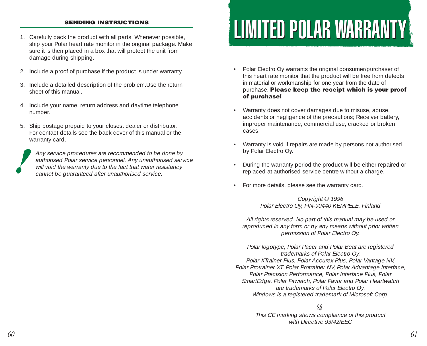#### **SENDING INSTRUCTIONS**

- 1. Carefully pack the product with all parts. Whenever possible, ship your Polar heart rate monitor in the original package. Make sure it is then placed in a box that will protect the unit from damage during shipping.
- 2. Include a proof of purchase if the product is under warranty.
- 3. Include a detailed description of the problem.Use the return sheet of this manual.
- 4. Include your name, return address and daytime telephone number.
- 5. Ship postage prepaid to your closest dealer or distributor. For contact details see the back cover of this manual or the warranty card.

Any service procedures are recommended to be done by authorised Polar service personnel. Any unauthorised service will void the warranty due to the fact that water resistancy cannot be guaranteed after unauthorised service.

## LIMITED POLAR WARRANTY LIMITED POLAR WARRANTY

- Polar Electro Oy warrants the original consumer/purchaser of this heart rate monitor that the product will be free from defects in material or workmanship for one year from the date of purchase. **Please keep the receipt which is your proof of purchase!**
- Warranty does not cover damages due to misuse, abuse, accidents or negligence of the precautions; Receiver battery, improper maintenance, commercial use, cracked or broken cases.
- Warranty is void if repairs are made by persons not authorised by Polar Electro Oy.
- During the warranty period the product will be either repaired or replaced at authorised service centre without a charge.
- For more details, please see the warranty card.

Copyright © 1996 Polar Electro Oy, FIN-90440 KEMPELE, Finland

All rights reserved. No part of this manual may be used or reproduced in any form or by any means without prior written permission of Polar Electro Oy.

Polar logotype, Polar Pacer and Polar Beat are registered trademarks of Polar Electro Oy. Polar XTrainer Plus, Polar Accurex Plus, Polar Vantage NV, Polar Protrainer XT, Polar Protrainer NV, Polar Advantage Interface, Polar Precision Performance, Polar Interface Plus, Polar SmartEdge, Polar Fitwatch, Polar Favor and Polar Heartwatch are trademarks of Polar Electro Oy. Windows is a registered trademark of Microsoft Corp.

## 0537

This CE marking shows compliance of this product with Directive 93/42/FFC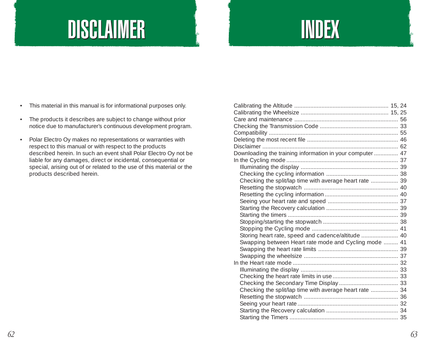## **DISCLAIMER**

## INDEX

- This material in this manual is for informational purposes only.
- The products it describes are subject to change without prior notice due to manufacturer's continuous development program.
- • Polar Electro Oy makes no representations or warranties with respect to this manual or with respect to the products described herein. In such an event shall Polar Electro Oy not be liable for any damages, direct or incidental, consequential or special, arising out of or related to the use of this material or the products described herein.

| Downloading the training information in your computer  47 |  |
|-----------------------------------------------------------|--|
|                                                           |  |
|                                                           |  |
|                                                           |  |
| Checking the split/lap time with average heart rate  39   |  |
|                                                           |  |
|                                                           |  |
|                                                           |  |
|                                                           |  |
|                                                           |  |
|                                                           |  |
|                                                           |  |
| Storing heart rate, speed and cadence/altitude  40        |  |
| Swapping between Heart rate mode and Cycling mode  41     |  |
|                                                           |  |
|                                                           |  |
|                                                           |  |
|                                                           |  |
|                                                           |  |
|                                                           |  |
| Checking the split/lap time with average heart rate  34   |  |
|                                                           |  |
|                                                           |  |
|                                                           |  |
|                                                           |  |